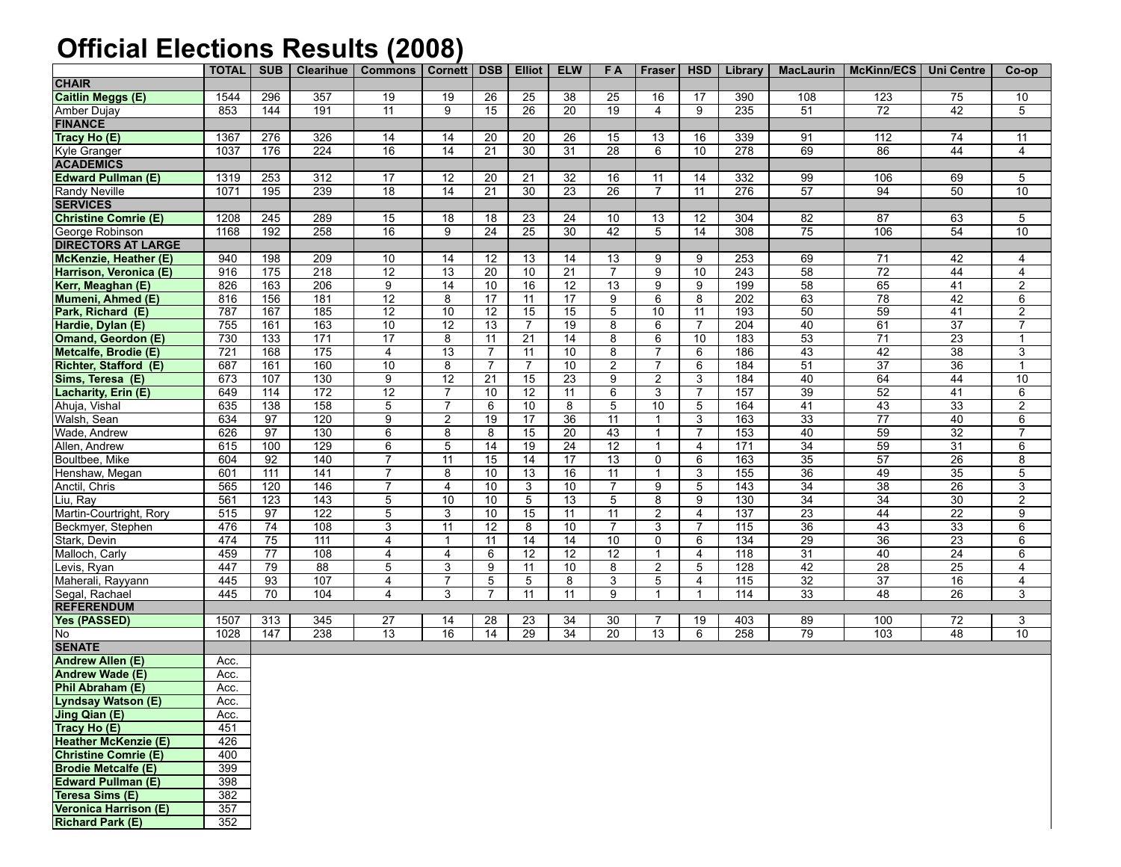## **Official Elections Results (2008)**

|                             | <b>TOTAL</b> | <b>SUB</b>      | <b>Clearihue</b> | <b>Commons</b>  | Cornett         | DSB             | <b>Elliot</b>   | <b>ELW</b>      | FA              | Fraser         | <b>HSD</b>      | Library          |                 | MacLaurin   McKinn/ECS   Uni Centre |                 | Co-op                   |
|-----------------------------|--------------|-----------------|------------------|-----------------|-----------------|-----------------|-----------------|-----------------|-----------------|----------------|-----------------|------------------|-----------------|-------------------------------------|-----------------|-------------------------|
| <b>CHAIR</b>                |              |                 |                  |                 |                 |                 |                 |                 |                 |                |                 |                  |                 |                                     |                 |                         |
| <b>Caitlin Meggs (E)</b>    | 1544         | 296             | 357              | 19              | 19              | 26              | 25              | $\overline{38}$ | 25              | 16             | $\overline{17}$ | 390              | 108             | 123                                 | 75              | 10                      |
| Amber Dujay                 | 853          | 144             | 191              | 11              | 9               | 15              | 26              | $\overline{20}$ | $\overline{19}$ | $\overline{4}$ | 9               | 235              | 51              | 72                                  | 42              | 5                       |
| <b>FINANCE</b>              |              |                 |                  |                 |                 |                 |                 |                 |                 |                |                 |                  |                 |                                     |                 |                         |
| Tracy Ho (E)                | 1367         | 276             | 326              | 14              | 14              | 20              | 20              | 26              | 15              | 13             | 16              | 339              | 91              | 112                                 | 74              | 11                      |
| Kyle Granger                | 1037         | 176             | 224              | 16              | 14              | 21              | 30              | 31              | $\overline{28}$ | 6              | 10              | 278              | 69              | 86                                  | 44              | $\overline{4}$          |
| <b>ACADEMICS</b>            |              |                 |                  |                 |                 |                 |                 |                 |                 |                |                 |                  |                 |                                     |                 |                         |
| <b>Edward Pullman (E)</b>   | 1319         | 253             | 312              | 17              | 12              | 20              | 21              | 32              | 16              | 11             | 14              | 332              | 99              | 106                                 | 69              | 5                       |
| Randy Neville               | 1071         | 195             | 239              | $\overline{18}$ | 14              | $\overline{21}$ | 30              | $\overline{23}$ | $\overline{26}$ | $\overline{7}$ | 11              | 276              | $\overline{57}$ | $\overline{94}$                     | 50              | $\overline{10}$         |
| <b>SERVICES</b>             |              |                 |                  |                 |                 |                 |                 |                 |                 |                |                 |                  |                 |                                     |                 |                         |
| Christine Comrie (E)        | 1208         | 245             | 289              | 15              | 18              | 18              | 23              | 24              | 10              | 13             | 12              | 304              | $\overline{82}$ | 87                                  | 63              | 5                       |
| George Robinson             | 1168         | 192             | 258              | 16              | 9               | $\overline{24}$ | $\overline{25}$ | $\overline{30}$ | 42              | 5              | 14              | 308              | $\overline{75}$ | 106                                 | 54              | 10                      |
| <b>DIRECTORS AT LARGE</b>   |              |                 |                  |                 |                 |                 |                 |                 |                 |                |                 |                  |                 |                                     |                 |                         |
| McKenzie, Heather (E)       | 940          | 198             | 209              | 10              | 14              | 12              | 13              | 14              | 13              | 9              | 9               | 253              | 69              | 71                                  | 42              | 4                       |
| Harrison, Veronica (E)      | 916          | 175             | 218              | $\overline{12}$ | $\overline{13}$ | $\overline{20}$ | 10              | $\overline{21}$ | 7               | 9              | 10              | 243              | 58              | $\overline{72}$                     | 44              | $\overline{4}$          |
| Kerr, Meaghan (E)           | 826          | 163             | $\overline{206}$ | $\overline{9}$  | $\overline{14}$ | $\overline{10}$ | 16              | $\overline{12}$ | $\overline{13}$ | 9              | 9               | 199              | $\overline{58}$ | 65                                  | 41              | $\overline{2}$          |
| Mumeni, Ahmed (E)           | 816          | 156             | 181              | 12              | 8               | $\overline{17}$ | 11              | $\overline{17}$ | 9               | 6              | 8               | 202              | 63              | $\overline{78}$                     | 42              | 6                       |
| Park, Richard (E)           | 787          | 167             | 185              | 12              | 10              | 12              | 15              | 15              | 5               | 10             | 11              | 193              | 50              | 59                                  | 41              | $\overline{c}$          |
| Hardie, Dylan (E)           | 755          | 161             | 163              | 10              | $\overline{12}$ | $\overline{13}$ | $\overline{7}$  | $\overline{19}$ | 8               | 6              | $\overline{7}$  | 204              | 40              | 61                                  | $\overline{37}$ | $\overline{7}$          |
| Omand, Geordon (E)          | 730          | 133             | 171              | $\overline{17}$ | 8               | 11              | 21              | $\overline{14}$ | 8               | 6              | 10              | 183              | 53              | $\overline{71}$                     | 23              | $\mathbf{1}$            |
| Metcalfe, Brodie (E)        | 721          | 168             | $\frac{175}{2}$  | $\overline{4}$  | 13              | $\overline{7}$  | 11              | 10              | 8               | $\overline{7}$ | 6               | 186              | 43              | $\overline{42}$                     | 38              | $\overline{3}$          |
| Richter, Stafford (E)       | 687          | 161             | 160              | $\overline{10}$ | 8               | $\overline{7}$  | $\overline{7}$  | 10              | $\overline{2}$  | $\overline{7}$ | 6               | 184              | $\overline{51}$ | 37                                  | 36              | $\mathbf{1}$            |
| Sims, Teresa (E)            | 673          | 107             | 130              | $\overline{9}$  | $\overline{12}$ | $\overline{21}$ | 15              | $\overline{23}$ | 9               | $\overline{2}$ | 3               | 184              | 40              | 64                                  | 44              | $\overline{10}$         |
| Lacharity, Erin (E)         | 649          | 114             | 172              | 12              | 7               | 10              | 12              | 11              | 6               | 3              | 7               | 157              | 39              | 52                                  | 41              | 6                       |
| Ahuja, Vishal               | 635          | 138             | 158              | 5               | $\overline{7}$  | 6               | 10              | 8               | 5               | 10             | 5               | 164              | 41              | 43                                  | 33              | $\overline{2}$          |
| Walsh, Sean                 | 634          | 97              | 120              | 9               | 2               | $\overline{19}$ | 17              | $\overline{36}$ | 11              | $\mathbf{1}$   | 3               | 163              | $\overline{33}$ | $\overline{77}$                     | 40              | 6                       |
| Wade, Andrew                | 626          | $\overline{97}$ | 130              | 6               | 8               | 8               | 15              | $\overline{20}$ | 43              | $\mathbf{1}$   | $\overline{7}$  | 153              | 40              | 59                                  | 32              | 7                       |
| Allen, Andrew               | 615          | 100             | 129              | $\overline{6}$  | $\overline{5}$  | $\overline{14}$ | $\overline{19}$ | $\overline{24}$ | $\overline{12}$ | $\mathbf{1}$   | $\overline{4}$  | 171              | 34              | 59                                  | $\overline{31}$ | $6\overline{6}$         |
| Boultbee, Mike              | 604          | 92              | 140              | $\overline{7}$  | 11              | $\overline{15}$ | 14              | $\overline{17}$ | 13              | 0              | 6               | 163              | $\overline{35}$ | 57                                  | 26              | 8                       |
| Henshaw, Megan              | 601          | 111             | 141              | $\overline{7}$  | 8               | 10              | 13              | 16              | $\overline{11}$ | $\mathbf{1}$   | 3               | 155              | 36              | 49                                  | 35              | 5                       |
| Anctil, Chris               | 565          | 120             | 146              | 7               | $\overline{4}$  | 10              | 3               | 10              | $\overline{7}$  | 9              | 5               | 143              | 34              | 38                                  | 26              | 3                       |
| Liu, Ray                    | 561          | 123             | 143              | 5               | 10              | 10              | 5               | $\overline{13}$ | 5               | 8              | 9               | 130              | $\overline{34}$ | $\overline{34}$                     | 30              | $\overline{2}$          |
| Martin-Courtright, Rory     | 515          | 97              | 122              | $\overline{5}$  | 3               | 10              | $\overline{15}$ | 11              | 11              | $\overline{2}$ | $\overline{4}$  | 137              | $\overline{23}$ | 44                                  | $\overline{22}$ | 9                       |
| Beckmyer, Stephen           | 476          | 74              | 108              | 3               | 11              | 12              | 8               | 10              | $\overline{7}$  | 3              | $\overline{7}$  | 115              | 36              | 43                                  | 33              | 6                       |
| Stark, Devin                | 474          | 75              | $\overline{111}$ | $\overline{4}$  | -1              | $\overline{11}$ | $\overline{14}$ | $\overline{14}$ | $\overline{10}$ | 0              | 6               | $\overline{134}$ | $\overline{29}$ | $\overline{36}$                     | $\overline{23}$ | 6                       |
| Malloch, Carly              | 459          | 77              | 108              | 4               | 4               | 6               | 12              | $\overline{12}$ | 12              | $\mathbf{1}$   | $\overline{4}$  | 118              | 31              | 40                                  | 24              | 6                       |
| Levis, Ryan                 | 447          | 79              | 88               | 5               | 3               | 9               | 11              | 10              | 8               | $\overline{2}$ | 5               | 128              | 42              | $\overline{28}$                     | 25              | 4                       |
| Maherali, Rayyann           | 445          | 93              | 107              | $\overline{4}$  | $\overline{7}$  | 5               | 5               | 8               | 3               | 5              | $\overline{4}$  | 115              | $\overline{32}$ | $\overline{37}$                     | 16              | $\overline{\mathbf{4}}$ |
| Segal, Rachael              | 445          | 70              | 104              | 4               | 3               | 7               | 11              | 11              | 9               | $\mathbf{1}$   | $\mathbf{1}$    | 114              | 33              | 48                                  | 26              | 3                       |
| <b>REFERENDUM</b>           |              |                 |                  |                 |                 |                 |                 |                 |                 |                |                 |                  |                 |                                     |                 |                         |
| Yes (PASSED)                | 1507         | 313             | 345              | 27              | 14              | 28              | 23              | 34              | 30              | 7              | 19              | 403              | 89              | 100                                 | 72              | 3                       |
| No                          | 1028         | 147             | 238              | 13              | 16              | 14              | 29              | 34              | 20              | 13             | 6               | 258              | $\overline{79}$ | 103                                 | 48              | $\overline{10}$         |
| <b>SENATE</b>               |              |                 |                  |                 |                 |                 |                 |                 |                 |                |                 |                  |                 |                                     |                 |                         |
| Andrew Allen (E)            | Acc.         |                 |                  |                 |                 |                 |                 |                 |                 |                |                 |                  |                 |                                     |                 |                         |
| Andrew Wade (E)             | Acc.         |                 |                  |                 |                 |                 |                 |                 |                 |                |                 |                  |                 |                                     |                 |                         |
| Phil Abraham (E)            | Acc.         |                 |                  |                 |                 |                 |                 |                 |                 |                |                 |                  |                 |                                     |                 |                         |
| Lyndsay Watson (E)          | Acc.         |                 |                  |                 |                 |                 |                 |                 |                 |                |                 |                  |                 |                                     |                 |                         |
| Jing Qian (E)               | Acc.         |                 |                  |                 |                 |                 |                 |                 |                 |                |                 |                  |                 |                                     |                 |                         |
| Tracy Ho (E)                | 451          |                 |                  |                 |                 |                 |                 |                 |                 |                |                 |                  |                 |                                     |                 |                         |
| <b>Heather McKenzie (E)</b> | 426          |                 |                  |                 |                 |                 |                 |                 |                 |                |                 |                  |                 |                                     |                 |                         |
| Christine Comrie (E)        | 400          |                 |                  |                 |                 |                 |                 |                 |                 |                |                 |                  |                 |                                     |                 |                         |
| <b>Brodie Metcalfe (E)</b>  | 399          |                 |                  |                 |                 |                 |                 |                 |                 |                |                 |                  |                 |                                     |                 |                         |
| <b>Edward Pullman (E)</b>   | 398          |                 |                  |                 |                 |                 |                 |                 |                 |                |                 |                  |                 |                                     |                 |                         |
| Teresa Sims (E)             | 382          |                 |                  |                 |                 |                 |                 |                 |                 |                |                 |                  |                 |                                     |                 |                         |
| Veronica Harrison (E)       | 357          |                 |                  |                 |                 |                 |                 |                 |                 |                |                 |                  |                 |                                     |                 |                         |
| <b>Richard Park (E)</b>     | 352          |                 |                  |                 |                 |                 |                 |                 |                 |                |                 |                  |                 |                                     |                 |                         |